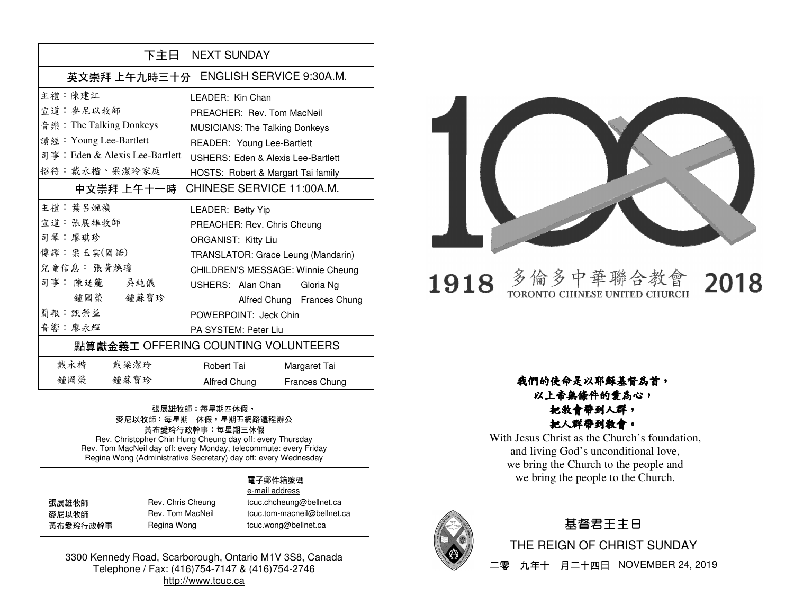|                                     | 下主日 NEXT SUNDAY                               |  |
|-------------------------------------|-----------------------------------------------|--|
|                                     | 英文崇拜 上午九時三十分 ENGLISH SERVICE 9:30A.M.         |  |
| 主禮 · 陳建江                            | I FADFR: Kin Chan                             |  |
| 宣道 · 麥尼以牧師                          | PREACHER: Rev. Tom MacNeil                    |  |
| 音 樂: The Talking Donkeys            | <b>MUSICIANS: The Talking Donkeys</b>         |  |
| 讀經: Young Lee-Bartlett              | READER: Young Lee-Bartlett                    |  |
| 司事: Eden & Alexis Lee-Bartlett      | <b>USHERS: Eden &amp; Alexis Lee-Bartlett</b> |  |
| 招待:戴永楷、梁潔玲家庭                        | HOSTS: Robert & Margart Tai family            |  |
| 中文崇拜 上午十一時                          | CHINESE SERVICE 11:00A.M.                     |  |
| 主禮 · 葉呂婉禎                           | LEADER: Betty Yip                             |  |
| 宣道:張展雄牧師                            | PREACHER: Rev. Chris Cheung                   |  |
| 司琴:廖琪珍                              | <b>ORGANIST: Kitty Liu</b>                    |  |
| 傳譯:梁玉雲(國語)                          | TRANSLATOR: Grace Leung (Mandarin)            |  |
| 兒童信息: 張黃煥瓊                          | CHILDREN'S MESSAGE: Winnie Cheung             |  |
| 司事: 陳廷龍<br>吳純儀                      | USHERS: Alan Chan Gloria Ng                   |  |
| 鍾國榮<br>鍾蘇寶珍                         | Alfred Chung Frances Chung                    |  |
| 簡報·甄榮益                              | POWERPOINT: Jeck Chin                         |  |
| 音響 · 廖永輝                            | PA SYSTEM: Peter Liu                          |  |
| 點算獻金義工 OFFERING COUNTING VOLUNTEERS |                                               |  |
| 戴永楷<br>戴梁潔玲                         | Robert Tai<br>Margaret Tai                    |  |
| 鍾國 榮<br>鍾蘇寶珍                        | Alfred Chung<br>Frances Chung                 |  |

#### 張展雄牧師:每星期四休假, 麥尼以牧師:每星期一休假,星期五網路遠程辦公 黃布愛玲行政幹事:每星期三休假 Rev. Christopher Chin Hung Cheung day off: every Thursday

 Rev. Tom MacNeil day off: every Monday, telecommute: every Friday Regina Wong (Administrative Secretary) day off: every Wednesday

#### 電子郵件箱號碼 e-mail address

| 張展雄牧師    | Rev. Chris Cheung | tcuc.chcheung@bellnet.ca    |
|----------|-------------------|-----------------------------|
| 麥尼以牧師    | Rev. Tom MacNeil  | tcuc.tom-macneil@bellnet.ca |
| 黃布愛玲行政幹事 | Regina Wong       | tcuc.wong@bellnet.ca        |

3300 Kennedy Road, Scarborough, Ontario M1V 3S8, Canada Telephone / Fax: (416)754-7147 & (416)754-2746 http://www.tcuc.ca



#### 多倫多中華聯合教 1918 TORONTO CHINESE UNITED CHURCH

2018

#### 我們的使命是以耶穌基督為首,以上帝無條件的愛為心,

#### 把教會帶到人群,把人群帶到教會。

 With Jesus Christ as the Church's foundation, and living God's unconditional love, we bring the Church to the people and we bring the people to the Church.



### 基督君王主日

THE REIGN OF CHRIST SUNDAY

二零一九年十一月二十四日 NOVEMBER 24, 2019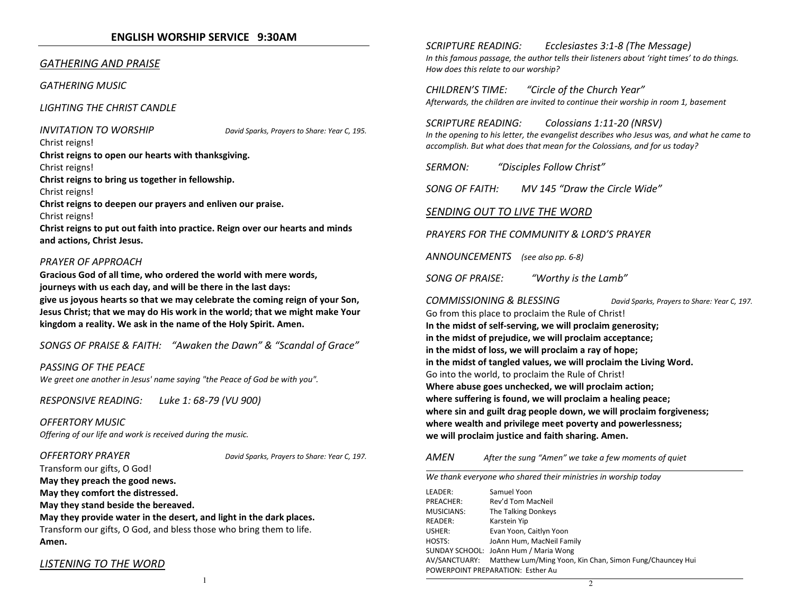#### ENGLISH WORSHIP SERVICE 9:30AM

#### GATHERING AND PRAISE

GATHERING MUSIC

LIGHTING THE CHRIST CANDLE

INVITATION TO WORSHIP David Sparks, Prayers to Share: Year C, 195.

Christ reigns! Christ reigns to open our hearts with thanksgiving.Christ reigns! Christ reigns to bring us together in fellowship. Christ reigns! Christ reigns to deepen our prayers and enliven our praise. Christ reigns! Christ reigns to put out faith into practice. Reign over our hearts and minds and actions, Christ Jesus.

#### PRAYER OF APPROACH

Gracious God of all time, who ordered the world with mere words, journeys with us each day, and will be there in the last days:

give us joyous hearts so that we may celebrate the coming reign of your Son, Jesus Christ; that we may do His work in the world; that we might make Your kingdom a reality. We ask in the name of the Holy Spirit. Amen.

SONGS OF PRAISE & FAITH: "Awaken the Dawn" & "Scandal of Grace"

PASSING OF THE PEACE We greet one another in Jesus' name saying "the Peace of God be with you".

RESPONSIVE READING: Luke 1: 68-79 (VU 900)

OFFERTORY MUSICOffering of our life and work is received during the music.

OFFERTORY PRAYER DAVID BONID Sparks, Prayers to Share: Year C, 197.

Transform our gifts, O God! May they preach the good news.

May they comfort the distressed.

May they stand beside the bereaved.

May they provide water in the desert, and light in the dark places.

Transform our gifts, O God, and bless those who bring them to life. Amen.

#### LISTENING TO THE WORD

SCRIPTURE READING: Ecclesiastes 3:1-8 (The Message) In this famous passage, the author tells their listeners about 'right times' to do things. How does this relate to our worship?

CHILDREN'S TIME: "Circle of the Church Year" Afterwards, the children are invited to continue their worship in room 1, basement

SCRIPTURE READING: Colossians 1:11-20 (NRSV) In the opening to his letter, the evangelist describes who Jesus was, and what he came to accomplish. But what does that mean for the Colossians, and for us today?

SERMON: "Disciples Follow Christ"

SONG OF FAITH: MV 145 "Draw the Circle Wide"

#### SENDING OUT TO LIVE THE WORD

PRAYERS FOR THE COMMUNITY & LORD'S PRAYER

ANNOUNCEMENTS (see also pp. 6-8)

SONG OF PRAISE: "Worthy is the Lamb"

COMMISSIONING & BLESSING David Sparks, Prayers to Share: Year C, 197. Go from this place to proclaim the Rule of Christ! In the midst of self-serving, we will proclaim generosity; in the midst of prejudice, we will proclaim acceptance; in the midst of loss, we will proclaim a ray of hope; in the midst of tangled values, we will proclaim the Living Word.Go into the world, to proclaim the Rule of Christ! Where abuse goes unchecked, we will proclaim action; where suffering is found, we will proclaim a healing peace; where sin and guilt drag people down, we will proclaim forgiveness; where wealth and privilege meet poverty and powerlessness; we will proclaim justice and faith sharing. Amen.

#### AMENAfter the sung "Amen" we take a few moments of quiet

We thank everyone who shared their ministries in worship today LEADER: Samuel Yoon PREACHER: Rev'd Tom MacNeil MUSICIANS: The Talking Donkeys READER: Karstein Yip USHER: Evan Yoon, Caitlyn Yoon HOSTS: JoAnn Hum, MacNeil Family SUNDAY SCHOOL: JoAnn Hum / Maria Wong AV/SANCTUARY: Matthew Lum/Ming Yoon, Kin Chan, Simon Fung/Chauncey Hui POWERPOINT PREPARATION: Esther Au 2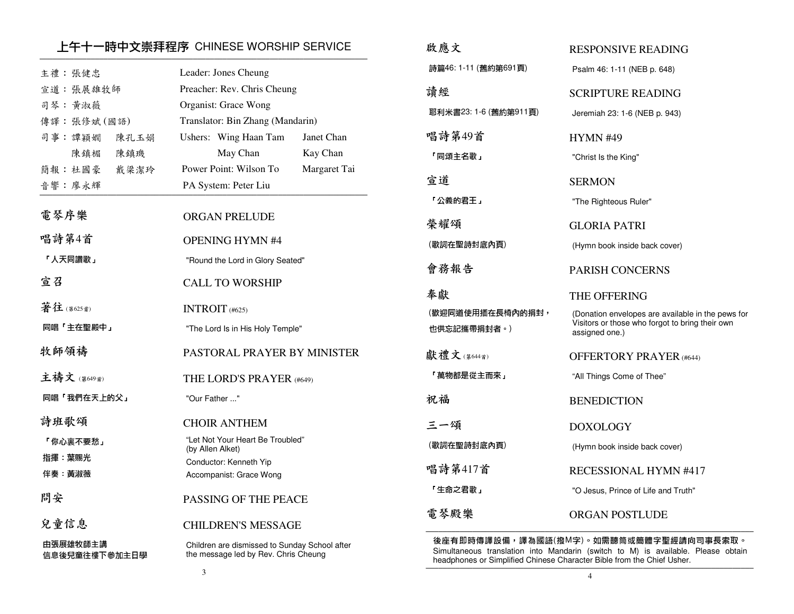### 上午十一時中文崇拜程序 CHINESE WORSHIP SERVICE ─────────────────────────────────────────────────────────────────────────────

| 主禮:張健忠<br>宣道: 張展雄牧師<br>司琴:黄淑薇<br>傳譯:張修斌(國語)<br>司事:譚穎嫺 | 陳孔玉娟        | Leader: Jones Cheung<br>Preacher: Rev. Chris Cheung<br>Organist: Grace Wong<br>Translator: Bin Zhang (Mandarin)<br>Ushers: Wing Haan Tam<br>Janet Chan |
|-------------------------------------------------------|-------------|--------------------------------------------------------------------------------------------------------------------------------------------------------|
| 陳鎮楣<br>簡報:杜國豪                                         | 陳鎮璣<br>戴梁潔玲 | May Chan<br>Kay Chan<br>Power Point: Wilson To<br>Margaret Tai                                                                                         |
| 音響:廖永輝                                                |             | PA System: Peter Liu                                                                                                                                   |
| 電琴序樂                                                  |             | <b>ORGAN PRELUDE</b>                                                                                                                                   |
| 唱詩第4首                                                 |             | <b>OPENING HYMN #4</b>                                                                                                                                 |
| 「人天同讚歌」                                               |             | "Round the Lord in Glory Seated"                                                                                                                       |
| 宣召                                                    |             | <b>CALL TO WORSHIP</b>                                                                                                                                 |
| 著往(第625首)                                             |             | INTROIT $(#625)$                                                                                                                                       |
| 同唱「主在聖殿中」                                             |             | "The Lord Is in His Holy Temple"                                                                                                                       |
| 牧師領禱                                                  |             | PASTORAL PRAYER BY MINISTER                                                                                                                            |
| 主禱文 (第649首)                                           |             | THE LORD'S PRAYER (#649)                                                                                                                               |
| 同唱「我們在天上的父」                                           |             | "Our Father "                                                                                                                                          |
| 詩班歌頌                                                  |             | <b>CHOIR ANTHEM</b>                                                                                                                                    |
| 「你心裏不要愁」                                              |             | "Let Not Your Heart Be Troubled"<br>(by Allen Alket)                                                                                                   |
| 指揮 葉賜光                                                |             | Conductor: Kenneth Yip                                                                                                                                 |
| 伴奏 黃淑薇                                                |             | Accompanist: Grace Wong                                                                                                                                |
| 問安                                                    |             | PASSING OF THE PEACE                                                                                                                                   |
| 兒童信息                                                  |             | <b>CHILDREN'S MESSAGE</b>                                                                                                                              |
| 由張展雄牧師主講<br>信息後兒童往樓下參加主日學                             |             | Children are dismissed to Sunday School after<br>the message led by Rev. Chris Cheung                                                                  |
|                                                       |             |                                                                                                                                                        |

| 啟應文                             | RESPONSIVE READING                                                                                                     |
|---------------------------------|------------------------------------------------------------------------------------------------------------------------|
| 詩篇46:1-11 (舊約第691頁)             | Psalm 46: 1-11 (NEB p. 648)                                                                                            |
| 讀經                              | <b>SCRIPTURE READING</b>                                                                                               |
| 耶利米書23: 1-6 (舊約第911頁)           | Jeremiah 23: 1-6 (NEB p. 943)                                                                                          |
| 唱詩第49首                          | <b>HYMN #49</b>                                                                                                        |
| 「同頌主名歌」                         | "Christ Is the King"                                                                                                   |
| 官道                              | <b>SERMON</b>                                                                                                          |
| 「公義的君王」                         | "The Righteous Ruler"                                                                                                  |
| 榮耀頌                             | <b>GLORIA PATRI</b>                                                                                                    |
| (歌詞在聖詩封底內頁)                     | (Hymn book inside back cover)                                                                                          |
| 會務報告                            | <b>PARISH CONCERNS</b>                                                                                                 |
|                                 |                                                                                                                        |
| 奉獻                              | THE OFFERING                                                                                                           |
| (歡迎同道使用插在長椅內的捐封,<br>也供忘記攜帶捐封者。) | (Donation envelopes are available in the pews for<br>Visitors or those who forgot to bring their own<br>assigned one.) |
| 獻禮文(第644首)                      | <b>OFFERTORY PRAYER (#644)</b>                                                                                         |
| 「萬物都是從主而來」                      | "All Things Come of Thee"                                                                                              |
| 祝福                              | <b>BENEDICTION</b>                                                                                                     |
| 三一頌                             | <b>DOXOLOGY</b>                                                                                                        |
| (歌詞在聖詩封底內頁)                     | (Hymn book inside back cover)                                                                                          |
| 唱詩第417首                         | RECESSIONAL HYMN #417                                                                                                  |
| 「生命之君歌」                         | "O Jesus, Prince of Life and Truth"                                                                                    |

後座有即時傳譯設備,譯為國語(撥M字)。如需聽筒或簡體字聖經請向司事長索取。 Simultaneous translation into Mandarin (switch to M) is available. Please obtain headphones or Simplified Chinese Character Bible from the Chief Usher.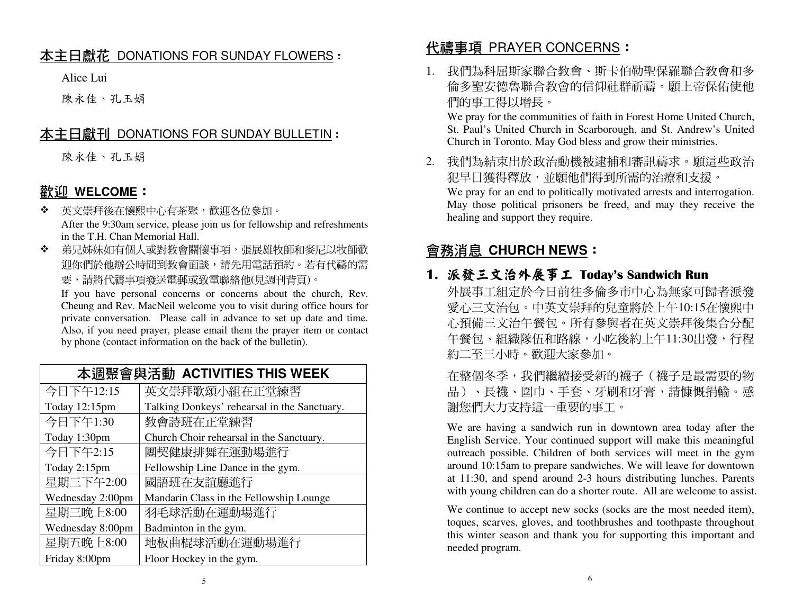# <u>本主日獻花 DONATIONS FOR SUNDAY FLOWERS</u> :<br>.

Alice Lui

陳永佳、孔玉娟

## <u>本主日獻刊 DONATIONS FOR SUNDAY BULLETIN</u> :<br>.

陳永佳、孔玉娟

# 歡迎 **WELCOME**:

- $\mathbf{e}_{\mathbf{e}}^{\mathbf{e}_{\mathbf{e}}}$  英文崇拜後在懷熙中心有茶聚,歡迎各位參加。 After the 9:30am service, please join us for fellowship and refreshments in the T.H. Chan Memorial Hall.
- ◆ 弟兄姊妹如有個人或對教會關懷事項,張展雄牧師和麥尼以牧師歡 ❖ 迎你們於他辦公時間到教會面談,請先用電話預約。若有代禱的需要,請將代禱事項發送電郵或致電聯絡他(見週刊背頁)。

 If you have personal concerns or concerns about the church, Rev. Cheung and Rev. MacNeil welcome you to visit during office hours for private conversation. Please call in advance to set up date and time. Also, if you need prayer, please email them the prayer item or contact by phone (contact information on the back of the bulletin).

### 本週聚會與活動 **ACTIVITIES THIS WEEK**

| 今日下午12:15        | 英文崇拜歌頌小組在正堂練習                                |
|------------------|----------------------------------------------|
| Today 12:15pm    | Talking Donkeys' rehearsal in the Sanctuary. |
| 今日下午1:30         | 教會詩班在正堂練習                                    |
| Today 1:30pm     | Church Choir rehearsal in the Sanctuary.     |
| 今日下午2:15         | 團契健康排舞在運動場進行                                 |
| Today 2:15pm     | Fellowship Line Dance in the gym.            |
| 星期三下午2:00        | 國語班在友誼廳進行                                    |
| Wednesday 2:00pm | Mandarin Class in the Fellowship Lounge      |
| 星期三晚上8:00        | 羽毛球活動在運動場進行                                  |
| Wednesday 8:00pm | Badminton in the gym.                        |
| 星期五晚上8:00        | 地板曲棍球活動在運動場進行                                |
| Friday 8:00pm    | Floor Hockey in the gym.                     |

# 代禱事項 PRAYER CONCERNS:

1. 我們為科屈斯家聯合教會、斯卡伯勒聖保羅聯合教會和多 倫多聖安德魯聯合教會的信仰社群祈禱。願上帝保佑使他們的事工得以增長。

 We pray for the communities of faith in Forest Home United Church, St. Paul's United Church in Scarborough, and St. Andrew's United Church in Toronto. May God bless and grow their ministries.

2. 我們為結束出於政治動機被逮捕和審訊禱求。願這些政治犯早日獲得釋放,並願他們得到所需的治療和支援。 We pray for an end to politically motivated arrests and interrogation. May those political prisoners be freed, and may they receive the healing and support they require.

# 會務消息 **CHURCH NEWS**:

### 1. 派發三文治外展事工

派發三文治外展事工 Today's Sandwich Run<br>外展事工組定於今日前往多倫多市中心為無家可歸者派發 愛心三文治包。中英文崇拜的兒童將於上午10:15在懷熙中 心預備三文治午餐包。所有參與者在英文崇拜後集合分配午餐包、組織隊伍和路線,小吃後約上午11:30出發,行程 約二至三小時。歡迎大家參加。

 在整個冬季,我們繼續接受新的襪子(襪子是最需要的物品)、長襪、圍巾、手套、牙刷和牙膏,請慷慨捐輸。感 謝您們大力支持這一重要的事工。

 We are having a sandwich run in downtown area today after the English Service. Your continued support will make this meaningful outreach possible. Children of both services will meet in the gym around 10:15am to prepare sandwiches. We will leave for downtown at 11:30, and spend around 2-3 hours distributing lunches. Parents with young children can do a shorter route. All are welcome to assist.

 We continue to accept new socks (socks are the most needed item), toques, scarves, gloves, and toothbrushes and toothpaste throughout this winter season and thank you for supporting this important and needed program.